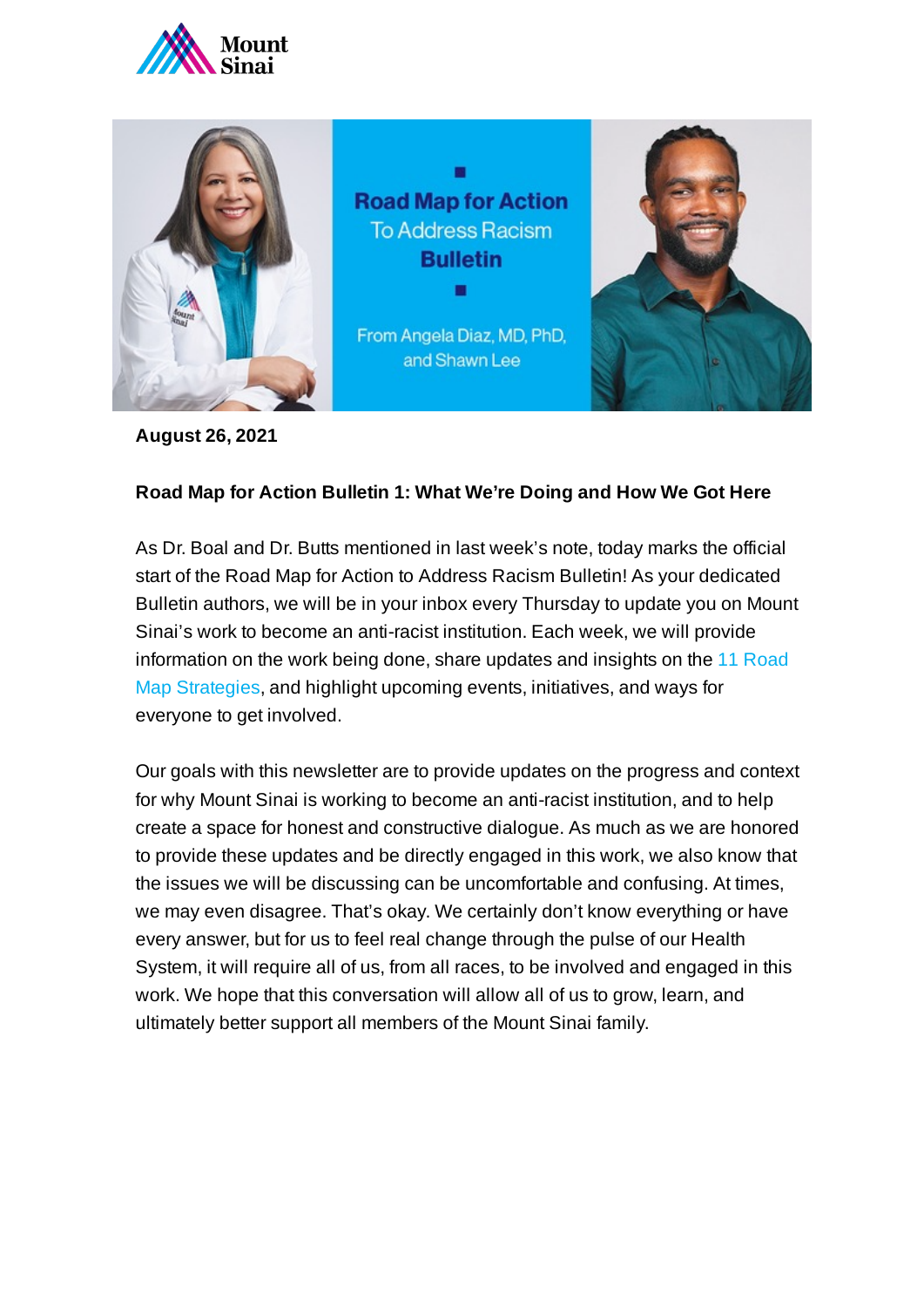



**August 26, 2021**

## **Road Map for Action Bulletin 1: What We're Doing and How We Got Here**

As Dr. Boal and Dr. Butts mentioned in last week's note, today marks the official start of the Road Map for Action to Address Racism Bulletin! As your dedicated Bulletin authors, we will be in your inbox every Thursday to update you on Mount Sinai's work to become an anti-racist institution. Each week, we will provide information on the work being done, share [updates and](https://www.mountsinai.org/about/addressing-racism/road-map) insights on the 11 Road Map Strategies, and highlight upcoming events, initiatives, and ways for everyone to get involved.

Our goals with this newsletter are to provide updates on the progress and context for why Mount Sinai is working to become an anti-racist institution, and to help create a space for honest and constructive dialogue. As much as we are honored to provide these updates and be directly engaged in this work, we also know that the issues we will be discussing can be uncomfortable and confusing. At times, we may even disagree. That's okay. We certainly don't know everything or have every answer, but for us to feel real change through the pulse of our Health System, it will require all of us, from all races, to be involved and engaged in this work. We hope that this conversation will allow all of us to grow, learn, and ultimately better support all members of the Mount Sinai family.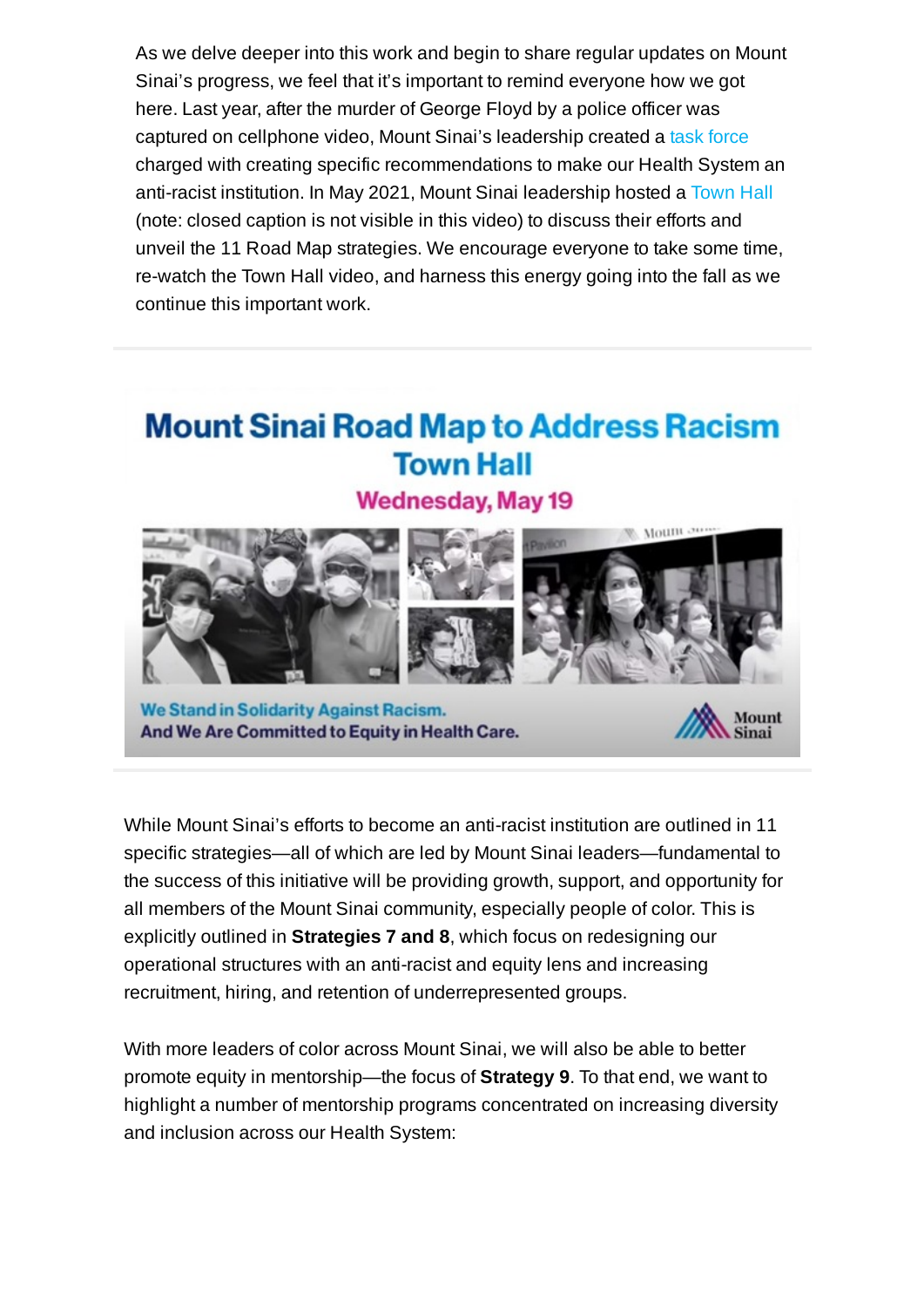As we delve deeper into this work and begin to share regular updates on Mount Sinai's progress, we feel that it's important to remind everyone how we got here. Last year, after the murder of George Floyd by a police officer was captured on cellphone video, Mount Sinai's leadership created a [task force](https://www.mountsinai.org/about/addressing-racism/road-map/charge) charged with creating specific recommendations to make our Health System an anti-racist institution. In May 2021, Mount Sinai leadership hosted a [Town](https://www.youtube.com/watch?v=csnet0SNolI) Hall (note: closed caption is not visible in this video) to discuss their efforts and unveil the 11 Road Map strategies. We encourage everyone to take some time, re-watch the Town Hall video, and harness this energy going into the fall as we continue this important work.

## **Mount Sinai Road Map to Address Racism Town Hall**





We Stand in Solidarity Against Racism. And We Are Committed to Equity in Health Care.



While Mount Sinai's efforts to become an anti-racist institution are outlined in 11 specific strategies—all of which are led by Mount Sinai leaders—fundamental to the success of this initiative will be providing growth, support, and opportunity for all members of the Mount Sinai community, especially people of color. This is explicitly outlined in **Strategies 7 and 8**, which focus on redesigning our operational structures with an anti-racist and equity lens and increasing recruitment, hiring, and retention of underrepresented groups.

With more leaders of color across Mount Sinai, we will also be able to better promote equity in mentorship—the focus of **Strategy 9**. To that end, we want to highlight a number of mentorship programs concentrated on increasing diversity and inclusion across our Health System: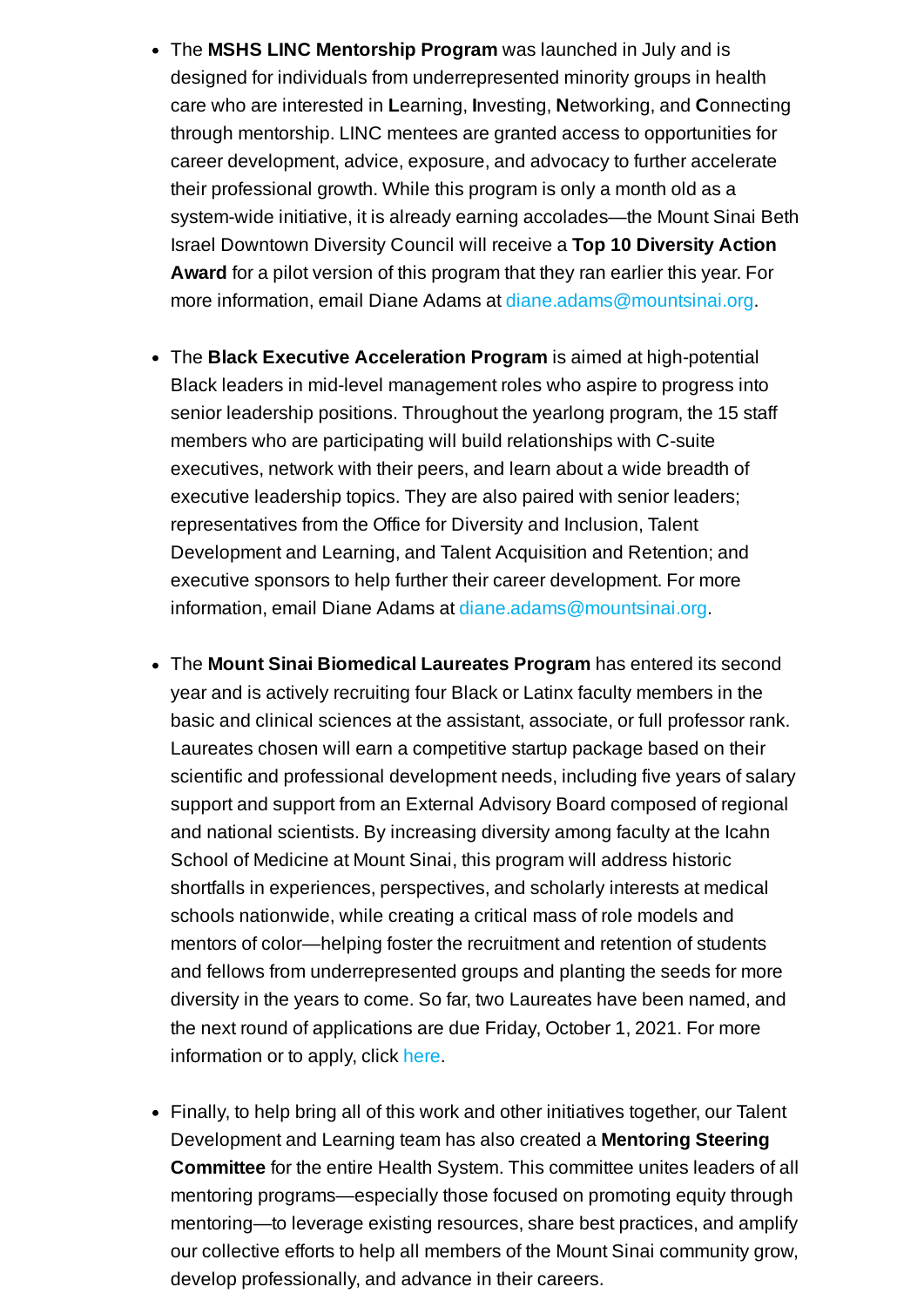- The **MSHS LINC Mentorship Program** was launched in July and is designed for individuals from underrepresented minority groups in health care who are interested in **L**earning, **I**nvesting, **N**etworking, and **C**onnecting through mentorship. LINC mentees are granted access to opportunities for career development, advice, exposure, and advocacy to further accelerate their professional growth. While this program is only a month old as a system-wide initiative, it is already earning accolades—the Mount Sinai Beth Israel Downtown Diversity Council will receive a **Top 10 Diversity Action Award** for a pilot version of this program that they ran earlier this year. For more information, email Diane Adams at [diane.adams@mountsinai.org.](mailto:diane.adams@mountsinai.org)
- The **Black Executive Acceleration Program** is aimed at high-potential Black leaders in mid-level management roles who aspire to progress into senior leadership positions. Throughout the yearlong program, the 15 staff members who are participating will build relationships with C-suite executives, network with their peers, and learn about a wide breadth of executive leadership topics. They are also paired with senior leaders; representatives from the Office for Diversity and Inclusion, Talent Development and Learning, and Talent Acquisition and Retention; and executive sponsors to help further their career development. For more information, email Diane Adams at [diane.adams@mountsinai.org.](mailto:diane.adams@mountsinai.org)
- The **Mount Sinai Biomedical Laureates Program** has entered its second year and is actively recruiting four Black or Latinx faculty members in the basic and clinical sciences at the assistant, associate, or full professor rank. Laureates chosen will earn a competitive startup package based on their scientific and professional development needs, including five years of salary support and support from an External Advisory Board composed of regional and national scientists. By increasing diversity among faculty at the Icahn School of Medicine at Mount Sinai, this program will address historic shortfalls in experiences, perspectives, and scholarly interests at medical schools nationwide, while creating a critical mass of role models and mentors of color—helping foster the recruitment and retention of students and fellows from underrepresented groups and planting the seeds for more diversity in the years to come. So far, two Laureates have been named, and the next round of applications are due Friday, October 1, 2021. For more information or to apply, click [here.](https://icahn.mssm.edu/research/laureates)
- Finally, to help bring all of this work and other initiatives together, our Talent Development and Learning team has also created a **Mentoring Steering Committee** for the entire Health System. This committee unites leaders of all mentoring programs—especially those focused on promoting equity through mentoring—to leverage existing resources, share best practices, and amplify our collective efforts to help all members of the Mount Sinai community grow, develop professionally, and advance in their careers.